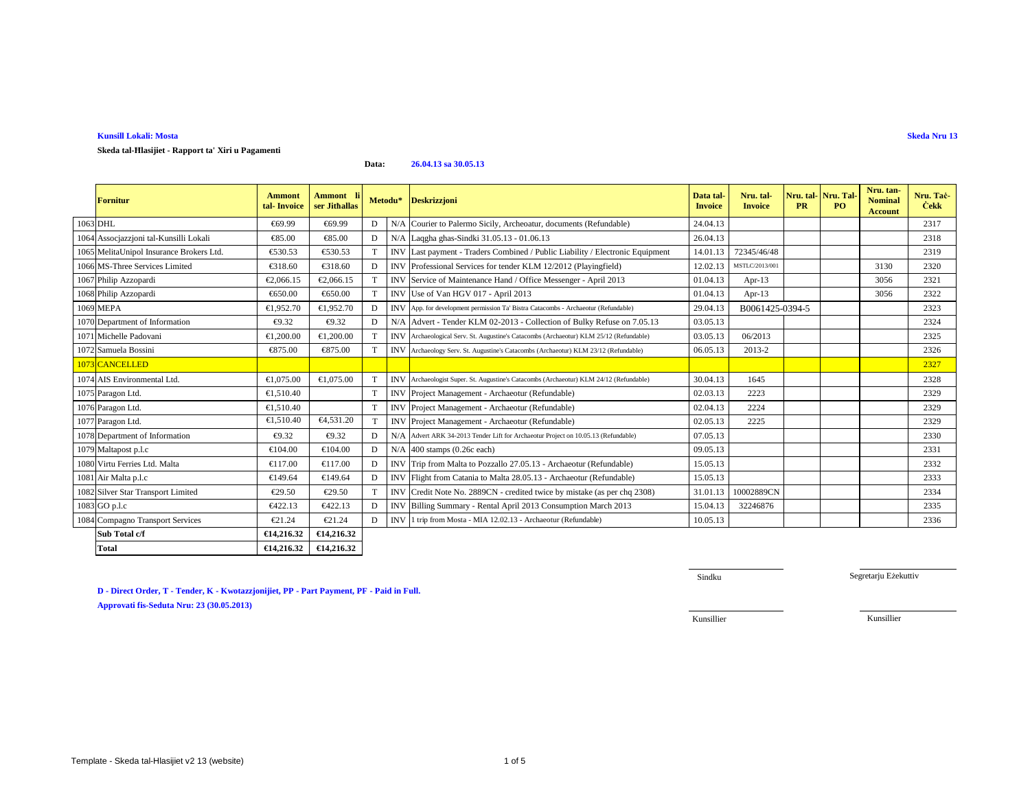### **D - Direct Order, T - Tender, K - Kwotazzjonijiet, PP - Part Payment, PF - Paid in Full. Approvati fis-Seduta Nru: 23 (30.05.2013)**

**Total**

Template - Skeda tal-Hlasijiet v2 13 (website)

 $\begin{array}{|c|c|c|c|}\n\hline\n\text{#14,216.32} & \text{#14,216.32}\n\hline\n\end{array}$ 

## **Kunsill Lokali: Mosta**

**Skeda tal-Ħlasijiet - Rapport ta' Xiri u Pagamenti**

| <b>Fornitur</b>                          | <b>Ammont</b><br>tal Invoice | Ammont li<br>ser Jithallas | Metodu* |            | <b>Deskrizzjoni</b>                                                                    | Data tal-<br><b>Invoice</b> | Nru. tal-<br><b>Invoice</b> | Nru. tal-Nru. Tal<br><b>PR</b> | PO | Nru. tan-<br><b>Nominal</b><br><b>Account</b> | Nru. Tač<br><b>Cekk</b> |
|------------------------------------------|------------------------------|----------------------------|---------|------------|----------------------------------------------------------------------------------------|-----------------------------|-----------------------------|--------------------------------|----|-----------------------------------------------|-------------------------|
| 1063 DHL                                 | €69.99                       | €69.99                     | D       | N/A        | Courier to Palermo Sicily, Archeoatr, documents (Refundable)                           | 24.04.13                    |                             |                                |    |                                               | 2317                    |
| 1064 Assocjazzjoni tal-Kunsilli Lokali   | €85.00                       | €85.00                     | D       |            | NA Laqgha ghas-Sindki 31.05.13 - 01.06.13                                              | 26.04.13                    |                             |                                |    |                                               | 2318                    |
| 1065 MelitaUnipol Insurance Brokers Ltd. | €530.53                      | €53053                     |         |            | INV Last payment - Traders Combined / Public Liability / Electronic Equipment          | 14.01.13                    | 72345/46/48                 |                                |    |                                               | 2319                    |
| 1066 MS-Three Services Limited           | €318.60                      | €318.60                    | D       | <b>INV</b> | Professional Services for tender KLM 12/2012 (Playingfield)                            | 12.02.13                    | MSTLC/2013/001              |                                |    | 3130                                          | 2320                    |
| 1067 Philip Azzopardi                    | €2,066.15                    | €2,066.15                  |         | <b>INV</b> | Service 6 Maintenance Hand / Office Messenger - April 2013                             | 01.04.13                    | Apr- $13$                   |                                |    | 3056                                          | 2321                    |
| 1068 Philip Azzopardi                    | €650.00                      | €650.00                    |         | <b>INV</b> | Use of Van HOV 017 - April 2013                                                        | 01.04.13                    | Apr- $13$                   |                                |    | 3056                                          | 2322                    |
| 1069 MEPA                                | €1.952.70                    | €1,952.70                  | D       |            | INV App. for development permission Ta' Bistra Catacombs - Archaeotur (Refundable)     | 29.04.13                    | B0061425-0394-5             |                                |    |                                               | 2323                    |
| 1070 Department of Information           | €9.32                        | €9.32                      | D       | N/A        | Advert Tender KLM 02-2013 - Collection of Bulky Refuse on 7.05.13                      | 03.05.13                    |                             |                                |    |                                               | 2324                    |
| 1071 Michelle Padovani                   | €1,200.00                    | €1,200.00                  |         |            | INV Archaeological Serv. St. Augustine's Catacombs (Archaeotur) KLM 25/12 (Refundable) | 03.05.13                    | 06/2013                     |                                |    |                                               | 2325                    |
| 1072 Samuela Bossini                     | €875.00                      | €875.00                    |         |            | INV Archaeology Serv. St. Augustine's Catacombs (Archaeotur) KLM 23/12 (Refundable)    | 06.05.13                    | 2013-2                      |                                |    |                                               | 2326                    |
| 1073 CANCELLED                           |                              |                            |         |            |                                                                                        |                             |                             |                                |    |                                               | 2327                    |
| 1074 AIS Environmental Ltd.              | €1,075.00                    | €1,075.00                  |         |            | INV Archaeologist Super. St. Augustine's Catacombs (Archaeotur) KLM 24/12 (Refundable) | 30.04.13                    | 1645                        |                                |    |                                               | 2328                    |
| 1075 Paragon Ltd.                        | €1.510.40                    |                            |         |            | INV Project Management - Archaeotur (Refundable)                                       | 02.03.13                    | 2223                        |                                |    |                                               | 2329                    |
| 1076 Paragon Ltd.                        | €1.510.40                    |                            | T       |            | INV Project Management - Archaeotur (Refundable)                                       | 02.04.13                    | 2224                        |                                |    |                                               | 2329                    |
| 1077 Paragon Ltd.                        | €1.510.40                    | €4.531.20                  | T       |            | INV Project Management - Archaeotur (Refundable)                                       | 02.05.13                    | 2225                        |                                |    |                                               | 2329                    |
| 1078 Department of Information           | €9.32                        | €9.32                      | D       |            | N/A Advert ARK 34-2013 Tender Lift for Archaeotur Project on 10.05.13 (Refundable)     | 07.05.13                    |                             |                                |    |                                               | 2330                    |
| 1079 Maltapost p.l.c                     | €104.00                      | €104.00                    | D       | N/A        | 400 stamps (Q6c each)                                                                  | 09.05.13                    |                             |                                |    |                                               | 2331                    |
| 1080 Virtu Ferries Ltd. Malta            | €117.00                      | €117.00                    | D       | <b>INV</b> | Tripfrom Malta to Pozzallo 27.05.13 - Archaeotur (Refundable)                          | 15.05.13                    |                             |                                |    |                                               | 2332                    |
| 1081 Air Malta p.l.c                     | €149.64                      | €149.64                    | D       | <b>INV</b> | Flight from Ctania to Malta 28.05.13 - Archaeotur (Refundable)                         | 15.05.13                    |                             |                                |    |                                               | 2333                    |
| 1082 Silver Star Transport Limited       | €29.50                       | €29.50                     | T       | <b>INV</b> | Cedit Note No. 2889CN - credited twice by mistake (as per chq 2308)                    | 31.01.13                    | 10002889CN                  |                                |    |                                               | 2334                    |
| 1083 GO p.l.c                            | €422.13                      | €422.13                    | D       | <b>INV</b> | Billing Summary - Rental April 203 Consumption March 2013                              | 15.04.13                    | 32246876                    |                                |    |                                               | 2335                    |
| 1084 Compagno Transport Services         | €21.24                       | €21.24                     | D       |            | INVI 1 trip from Mosta - MIA 12.02.13 - Archaeotur (Refundable)                        | 10.05.13                    |                             |                                |    |                                               | 2336                    |
| Sub Total c/f                            | €14,216.32                   | €14,216.32                 |         |            |                                                                                        |                             |                             |                                |    |                                               |                         |

**Data:26.04.13 sa 30.05.13**

Sindku

Segretarju Eżekuttiv

Kunsillier

Kunsillier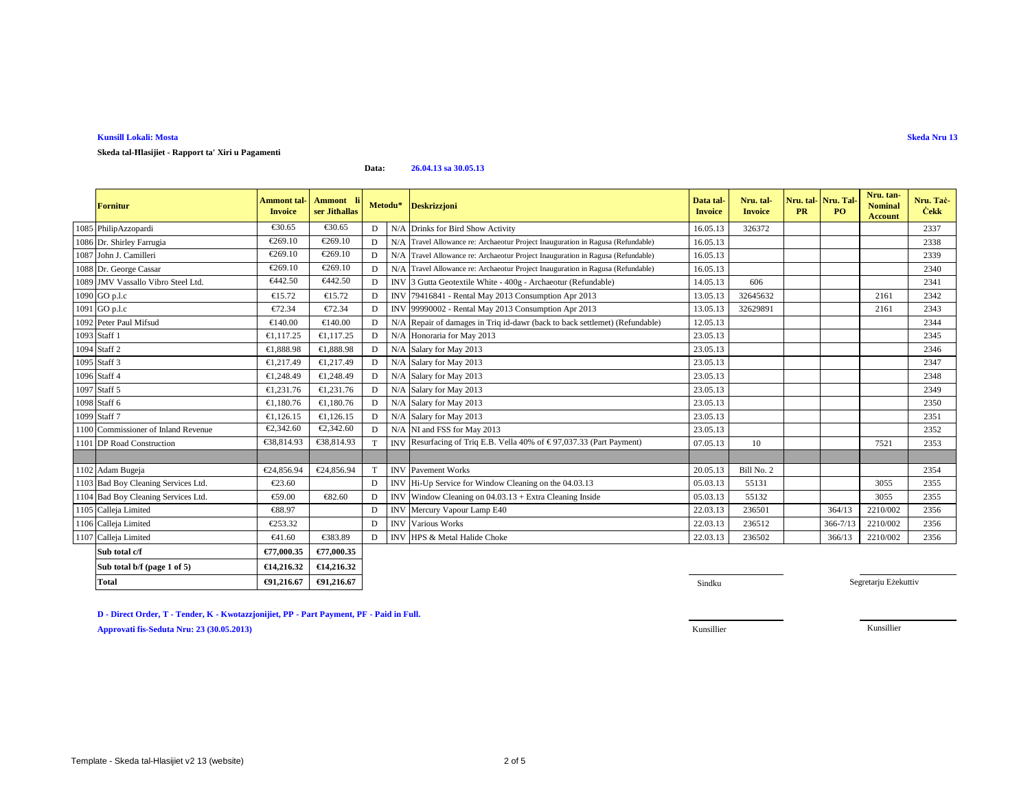### **Kunsill Lokali: Mosta**

### **Skeda tal-Ħlasijiet - Rapport ta' Xiri u Pagamenti**

#### **Data:26.04.13 sa 30.05.13**

| <b>Fornitur</b>                     | <b>Ammont</b> tal-<br><b>Invoice</b> | Ammont li<br>ser Jithallas |   | Metodu*    | Deskrizzjoni                                                                    | Data tal-<br><b>Invoice</b> | Nru. tal-<br><b>Invoice</b> | Nru. tal-<br><b>PR</b> | Nru. Tal<br><b>PO</b> | Nru. tan-<br><b>Nominal</b><br><b>Account</b> | Nru. Taċ<br><b>Cekk</b> |
|-------------------------------------|--------------------------------------|----------------------------|---|------------|---------------------------------------------------------------------------------|-----------------------------|-----------------------------|------------------------|-----------------------|-----------------------------------------------|-------------------------|
| 1085 PhilipAzzopardi                | €30.65                               | €30.65                     | D |            | N/A Drinks for Bird Show Activity                                               | 16.05.13                    | 326372                      |                        |                       |                                               | 2337                    |
| 1086 Dr. Shirley Farrugia           | €269.10                              | €269.10                    | D | N/A        | Travel Allowance re: Archaeotur Project Inauguration in Ragusa (Refundable)     | 16.05.13                    |                             |                        |                       |                                               | 2338                    |
| 1087 John J. Camilleri              | €269.10                              | €269.10                    | D |            | N/A Travel Allowance re: Archaeotur Project Inauguration in Ragusa (Refundable) | 16.05.13                    |                             |                        |                       |                                               | 2339                    |
| 1088 Dr. George Cassar              | €269.10                              | €269.10                    | D |            | N/A Travel Allowance re: Archaeotur Project Inauguration in Ragusa (Refundable) | 16.05.13                    |                             |                        |                       |                                               | 2340                    |
| 1089 JMV Vassallo Vibro Steel Ltd.  | €442.50                              | €442.50                    | D |            | INV 3 Gutta Geotextile White - 400g - Archaeotur (Refundable)                   | 14.05.13                    | 606                         |                        |                       |                                               | 2341                    |
| 1090 GO p.l.c                       | €15.72                               | €15.72                     | D | <b>INV</b> | 79416841 - Rental May 2013 Consumpton Apr 2013                                  | 13.05.13                    | 32645632                    |                        |                       | 2161                                          | 2342                    |
| 1091 GO p.l.c                       | €72.34                               | €72.34                     | D | IN         | 99990002 - Rental May 2013 Consumpton Apr 2013                                  | 13.05.13                    | 32629891                    |                        |                       | 2161                                          | 2343                    |
| 1092 Peter Paul Mifsud              | €140.00                              | €140.00                    | D | N/A        | Repair of danages in Triq id-dawr (back to back settlemet) (Refundable)         | 12.05.13                    |                             |                        |                       |                                               | 2344                    |
| 1093 Staff 1                        | €1,117.25                            | €1,117.25                  | D | N/A        | Honoraria for May 2013                                                          | 23.05.13                    |                             |                        |                       |                                               | 2345                    |
| 1094 Staff 2                        | €1,888.98                            | €1,888.98                  | D | N/A        | Salary for May 2013                                                             | 23.05.13                    |                             |                        |                       |                                               | 2346                    |
| 1095 Staff 3                        | €1,217.49                            | €1,217.49                  | D | N/A        | Salary for May 2013                                                             | 23.05.13                    |                             |                        |                       |                                               | 2347                    |
| 1096 Staff 4                        | €1,248.49                            | €1,248.49                  | D | N/A        | Salary for May 2013                                                             | 23.05.13                    |                             |                        |                       |                                               | 2348                    |
| 1097 Staff 5                        | €1,231.76                            | €1,231.76                  | D | N/A        | Salary for May 2013                                                             | 23.05.13                    |                             |                        |                       |                                               | 2349                    |
| 1098 Staff 6                        | €1.180.76                            | €1.180.76                  | D | N/A        | Salary for May 2013                                                             | 23.05.13                    |                             |                        |                       |                                               | 2350                    |
| 1099 Staff 7                        | €1,126.15                            | €1,126.15                  | D | N/A        | Salary for May 2013                                                             | 23.05.13                    |                             |                        |                       |                                               | 2351                    |
| 1100 Commissioner of Inland Revenue | €2,342.60                            | €2,342.60                  | D |            | N/A NI and FSS for May 2013                                                     | 23.05.13                    |                             |                        |                       |                                               | 2352                    |
| 1101 DP Road Construction           | €38,814.93                           | €38,814.93                 |   |            | INV Resurfacing of Triq E.B. Vella 40% of $\in$ 97,037.33 Part Payment)         | 07.05.13                    | 10                          |                        |                       | 7521                                          | 2353                    |
|                                     |                                      |                            |   |            |                                                                                 |                             |                             |                        |                       |                                               |                         |
| 1102 Adam Bugeja                    | €24,856.94                           | €24,856.94                 | T | IN         | Pavement Woks                                                                   | 20.05.13                    | Bill No. 2                  |                        |                       |                                               | 2354                    |
| 1103 Bad Boy Cleaning Services Ltd. | €23.60                               |                            | D | <b>INV</b> | Hi-Up Service for Window Cleaning on the 04.03.13                               | 05.03.13                    | 55131                       |                        |                       | 3055                                          | 2355                    |
| 1104 Bad Boy Cleaning Services Ltd. | €59.00                               | €82.60                     | D | <b>INV</b> | Window Cleaning on $04.03.13 +$ Extra Cleaning Inside                           | 05.03.13                    | 55132                       |                        |                       | 3055                                          | 2355                    |
| 1105 Calleja Limited                | €88.97                               |                            | D |            | INV Mercury Vapour Lamp E40                                                     | 22.03.13                    | 236501                      |                        | 364/13                | 2210/002                                      | 2356                    |
| 1106 Calleja Limited                | €253.32                              |                            | D | <b>INV</b> | Various Works                                                                   | 22.03.13                    | 236512                      |                        | $366 - 7/13$          | 2210/002                                      | 2356                    |
| 1107 Calleja Limited                | €41.60                               | €383.89                    | D | <b>INV</b> | HPS & Metal Halde Choke                                                         | 22.03.13                    | 236502                      |                        | 366/13                | 2210/002                                      | 2356                    |
| Sub total c/f                       | €77,000.35                           | €77,000.35                 |   |            |                                                                                 |                             |                             |                        |                       |                                               |                         |
| Sub total b/f (page 1 of 5)         | €14,216.32                           | €14,216.32                 |   |            |                                                                                 |                             |                             |                        |                       |                                               |                         |

**D - Direct Order, T - Tender, K - Kwotazzjonijiet, PP - Part Payment, PF - Paid in Full.**

€91,216.67

**Approvati fis-Seduta Nru: 23 (30.05.2013)**

**Total €91,216.67 €91,216.67**

Segretarju Eżekuttiv

Kunsillier Kunsillier

and the state of the state of the state of the state of the state of the state of the state of the state of the state of the state of the state of the state of the state of the state of the state of the state of the state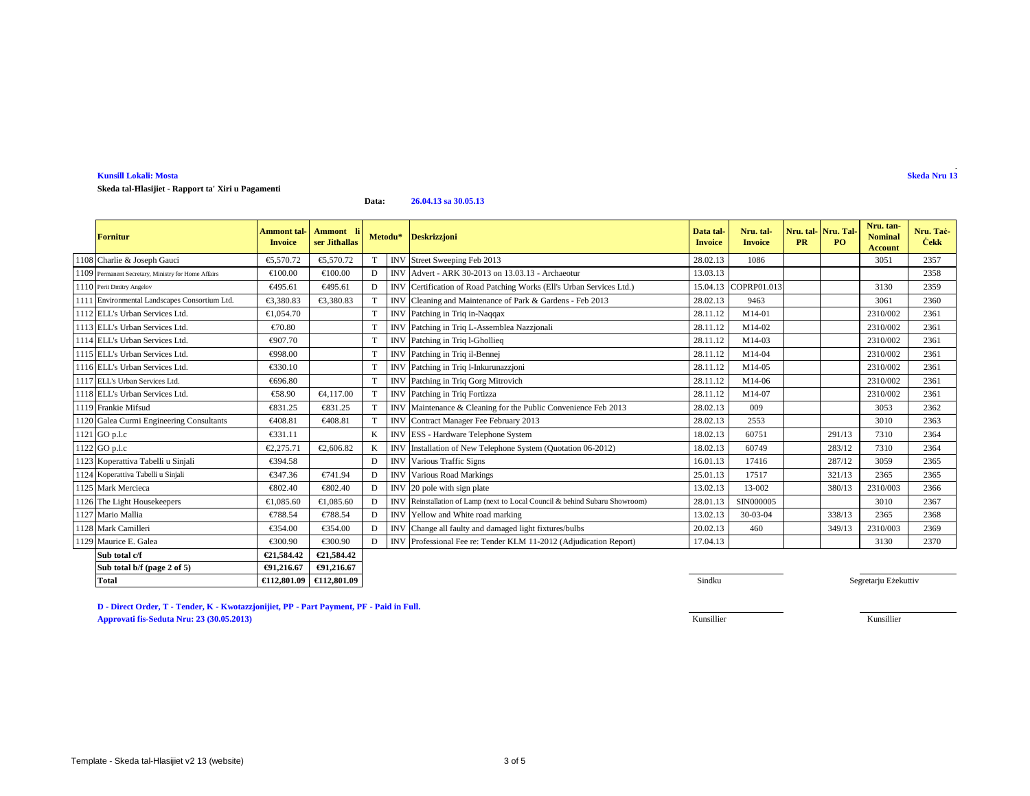### **Kunsill Lokali: MostaSkeda Nru 13**

**Skeda tal-Ħlasijiet - Rapport ta' Xiri u Pagamenti**

#### **Data:26.04.13 sa 30.05.13**

| <b>Fornitur</b>                                     | <b>Ammont</b> tal<br><b>Invoice</b> | Ammont li<br>ser Jithallas |                 | Metodu*    | <b>Deskrizzjoni</b>                                                         | Data tal-<br><b>Invoice</b> | Nru. tal-<br><b>Invoice</b> | <b>PR</b> | Nru. tal-Nru. Tal<br>PO. | Nru. tan-<br><b>Nominal</b><br><b>Account</b> | Nru. Tač<br><b>Cekk</b> |
|-----------------------------------------------------|-------------------------------------|----------------------------|-----------------|------------|-----------------------------------------------------------------------------|-----------------------------|-----------------------------|-----------|--------------------------|-----------------------------------------------|-------------------------|
| 1108 Charlie & Joseph Gauci                         | €5.570.72                           | €5,570.72                  |                 | <b>INV</b> | Street Sweeping Feb 2013                                                    | 28.02.13                    | 1086                        |           |                          | 3051                                          | 2357                    |
| 1109 Permanent Secretary, Ministry for Home Affairs | €100.00                             | €100.00                    | D               | <b>INV</b> | Advert - ARK 30-2013 on 13.03.13 Archaeotur                                 | 13.03.13                    |                             |           |                          |                                               | 2358                    |
| 1110 Perit Dmitry Angelov                           | €495.61                             | €495.61                    | D               | <b>INV</b> | Certification of Road Patching Woks (Ell's Urban Services Ltd.)             | 15.04.13                    | COPRP01.013                 |           |                          | 3130                                          | 2359                    |
| 1111 Environmental Landscapes Consortium Ltd.       | €3,380.83                           | €3,380.83                  |                 | <b>INV</b> | Cleaning and Maintenance of Rrk & Gardens - Feb 2013                        | 28.02.13                    | 9463                        |           |                          | 3061                                          | 2360                    |
| 1112 ELL's Urban Services Ltd.                      | €1,054.70                           |                            | T               | <b>INV</b> | Patchingin Triq in-Naqqax                                                   | 28.11.12                    | M14-01                      |           |                          | 2310/002                                      | 2361                    |
| 1113 ELL's Urban Services Ltd.                      | €70.80                              |                            | T               | <b>INV</b> | Patching inTriq L-Assemblea Nazzjonali                                      | 28.11.12                    | M14-02                      |           |                          | 2310/002                                      | 2361                    |
| 1114 ELL's Urban Services Ltd.                      | €907.70                             |                            | T               | <b>INV</b> | Patching in Triq 1-Ghollieg                                                 | 28.11.12                    | M14-03                      |           |                          | 2310/002                                      | 2361                    |
| 1115 ELL's Urban Services Ltd.                      | €998.00                             |                            | T               | <b>INV</b> | Patching in Triq il-Bennej                                                  | 28.11.12                    | M14-04                      |           |                          | 2310/002                                      | 2361                    |
| 1116 ELL's Urban Services Ltd.                      | €330.10                             |                            | T               | <b>INV</b> | Patching in Triq l-Inkurunazzjoni                                           | 28.11.12                    | M14-05                      |           |                          | 2310/002                                      | 2361                    |
| 1117 ELL's Urban Services Ltd.                      | €696.80                             |                            | T               | <b>INV</b> | Patching in Triq Gorg Mitrovich                                             | 28.11.12                    | M14-06                      |           |                          | 2310/002                                      | 2361                    |
| 1118 ELL's Urban Services Ltd.                      | €58.90                              | €4.117.00                  |                 | <b>INV</b> | Pathing in Triq Fortizza                                                    | 28.11.12                    | M14-07                      |           |                          | 2310/002                                      | 2361                    |
| 1119 Frankie Mifsud                                 | €831.25                             | €831.25                    | $^{\mathrm{T}}$ | <b>INV</b> | Maintenance & Ceaning for the Public Convenience Feb 2013                   | 28.02.13                    | 009                         |           |                          | 3053                                          | 2362                    |
| 1120 Galea Curmi Engineering Consultants            | €408.81                             | €40881                     | T               | <b>INV</b> | Contract Manager Fee February 2013                                          | 28.02.13                    | 2553                        |           |                          | 3010                                          | 2363                    |
| 1121 GO p.l.c                                       | €331.11                             |                            | K               | <b>INV</b> | ESS - Hardware Telephone System                                             | 18.02.13                    | 60751                       |           | 291/13                   | 7310                                          | 2364                    |
| 1122 GO p.l.c                                       | €2,275.71                           | €2,606.82                  | K               | <b>INV</b> | Installation of New TelephoneSystem (Quotation 06-2012)                     | 18.02.13                    | 60749                       |           | 283/12                   | 7310                                          | 2364                    |
| 1123 Koperattiva Tabelli u Sinjali                  | €394.58                             |                            | D               | <b>INV</b> | Various Traffic Signs                                                       | 16.01.13                    | 17416                       |           | 287/12                   | 3059                                          | 2365                    |
| 1124 Koperattiva Tabelli u Sinjali                  | €347.36                             | €741.94                    | D               | <b>INV</b> | <b>Various Road Markings</b>                                                | 25.01.13                    | 17517                       |           | 321/13                   | 2365                                          | 2365                    |
| 1125 Mark Mercieca                                  | €802.40                             | €802.40                    | D               | <b>INV</b> | 20 pole with sig plate                                                      | 13.02.13                    | 13-002                      |           | 380/13                   | 2310/003                                      | 2366                    |
| 1126 The Light Housekeepers                         | €1,085.60                           | €1,085.60                  | D               |            | INV Reinstallation of Lamp (next to Local Council & behind Subaru Showroom) | 28.01.13                    | SIN000005                   |           |                          | 3010                                          | 2367                    |
| 1127 Mario Mallia                                   | €788.54                             | €788.54                    | D               | <b>INV</b> | Yellow and Whiteroad marking                                                | 13.02.13                    | $30-03-04$                  |           | 338/13                   | 2365                                          | 2368                    |
| 1128 Mark Camilleri                                 | €354.00                             | €354.00                    | D               | <b>INV</b> | Change all fauly and damaged light fixtures/bulbs                           | 20.02.13                    | 460                         |           | 349/13                   | 2310/003                                      | 2369                    |
| 1129 Maurice E. Galea                               | €300.90                             | €300.90                    | D               |            | INV ProfessionalFee re: Tender KLM 11-2012 (Adjudication Report)            | 17.04.13                    |                             |           |                          | 3130                                          | 2370                    |
| Sub total c/f                                       | €21,584.42                          | €21,584.42                 |                 |            |                                                                             |                             |                             |           |                          |                                               |                         |
| Sub total b/f (page 2 of 5)                         | €91.216.67                          | €91.216.67                 |                 |            |                                                                             |                             |                             |           |                          |                                               |                         |
| <b>Total</b>                                        | €112,801.09                         | €112,801.09                |                 |            |                                                                             | Sindku                      |                             |           |                          | Segretarju Eżekuttiv                          |                         |

**D - Direct Order, T - Tender, K - Kwotazzjonijiet, PP - Part Payment, PF - Paid in Full.Approvati fis-Seduta Nru: 23 (30.05.2013)**Kunsillier Kunsillier

Template - Skeda tal-Hlasijiet v2 13 (website)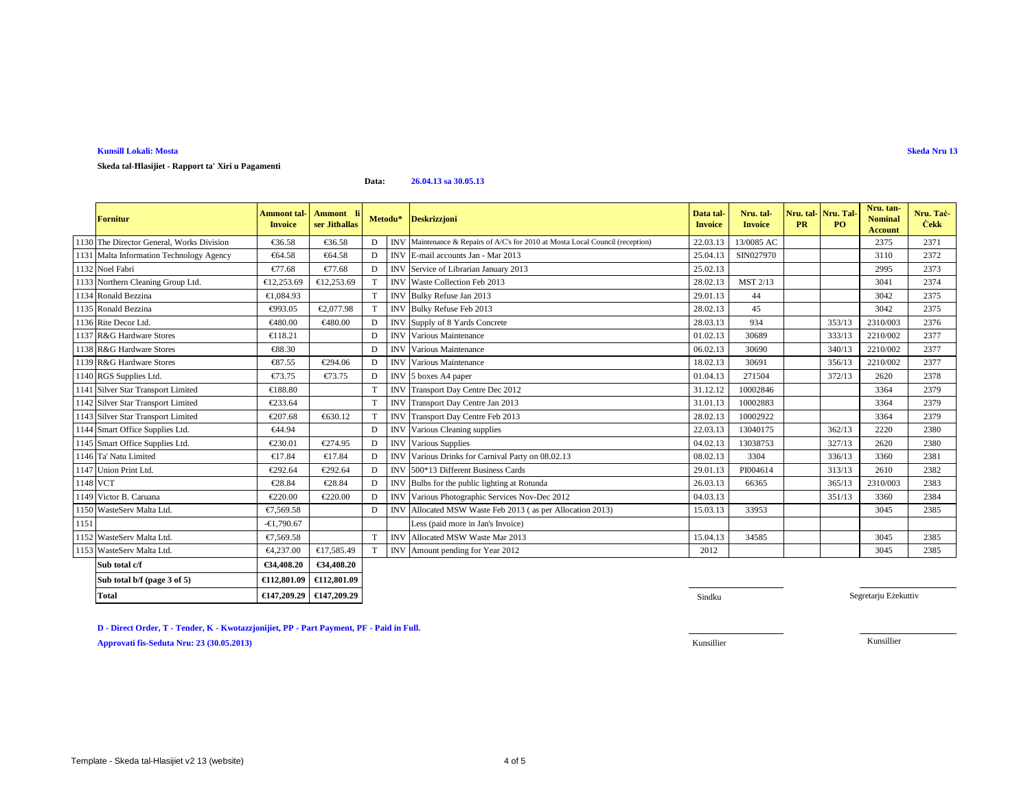### **Kunsill Lokali: Mosta**

**Skeda tal-Ħlasijiet - Rapport ta' Xiri u Pagamenti**

**Data:26.04.13 sa 30.05.13**

|          | <b>Fornitur</b>                           | <b>Ammont</b> tal-<br><b>Invoice</b> | Ammont li<br>ser Jithallas |   | Metodu*    | <b>Deskrizzjoni</b>                                                        | Data tal-<br><b>Invoice</b> | Nru. tal-<br><b>Invoice</b> | <b>PR</b> | Nru. tal   Nru. Tal<br>PO. | Nru. tan-<br><b>Nominal</b><br><b>Account</b> | Nru. Tač<br><b>Cekk</b> |
|----------|-------------------------------------------|--------------------------------------|----------------------------|---|------------|----------------------------------------------------------------------------|-----------------------------|-----------------------------|-----------|----------------------------|-----------------------------------------------|-------------------------|
|          | 1130 The Director General, Works Division | €36.58                               | €36.8                      | D | <b>INV</b> | Maintenance & Repairs of A/C's for 2010 at Mosta Local Council (reception) | 22.03.13                    | 13/0085 AC                  |           |                            | 2375                                          | 2371                    |
|          | 1131 Malta Information Technology Agency  | €64.58                               | €64.58                     | D | <b>INV</b> | E-mail accounts Jan - Mar 2013                                             | 25.04.13                    | SIN027970                   |           |                            | 3110                                          | 2372                    |
|          | 1132 Noel Fabri                           | €77.68                               | €77.68                     | D | <b>INV</b> | Service of LibrarianJanuary 2013                                           | 25.02.13                    |                             |           |                            | 2995                                          | 2373                    |
|          | 1133 Northern Cleaning Group Ltd.         | €12,253.69                           | €12,253. $\theta$          | T |            | INV Waste Collection Feb 2013                                              | 28.02.13                    | MST 2/13                    |           |                            | 3041                                          | 2374                    |
|          | 1134 Ronald Bezzina                       | €1,084.93                            |                            | T | <b>INV</b> | Bulky Refuse Jan 2013                                                      | 29.01.13                    | 44                          |           |                            | 3042                                          | 2375                    |
|          | 1135 Ronald Bezzina                       | €993.05                              | €2,077.98                  | T | <b>INV</b> | Bulky RefuseFeb 2013                                                       | 28.02.13                    | 45                          |           |                            | 3042                                          | 2375                    |
|          | 1136 Rite Decor Ltd.                      | €480.00                              | €480.00                    | D | IN         | Supply of 8 Yads Concrete                                                  | 28.03.13                    | 934                         |           | 353/13                     | 2310/003                                      | 2376                    |
|          | 1137 R&G Hardware Stores                  | €118.21                              |                            | D | <b>INV</b> | Various Maintenance                                                        | 01.02.13                    | 30689                       |           | 333/13                     | 2210/002                                      | 2377                    |
|          | 1138 R&G Hardware Stores                  | €88.30                               |                            | D | <b>INV</b> | Various Maintenance                                                        | 06.02.13                    | 30690                       |           | 340/13                     | 2210/002                                      | 2377                    |
|          | 1139 R&G Hardware Stores                  | €87.55                               | €294.06                    | D | IN         | Various Maitenance                                                         | 18.02.13                    | 30691                       |           | 356/13                     | 2210/002                                      | 2377                    |
|          | 1140 RGS Supplies Ltd.                    | €73.75                               | €73.75                     | D | <b>INV</b> | 5 boxes A4 papr                                                            | 01.04.13                    | 271504                      |           | 372/13                     | 2620                                          | 2378                    |
|          | 1141 Silver Star Transport Limited        | €188.80                              |                            | T | <b>INV</b> | Transport Day Centre Dec 2012                                              | 31.12.12                    | 10002846                    |           |                            | 3364                                          | 2379                    |
|          | 1142 Silver Star Transport Limited        | €233.64                              |                            | T | <b>INV</b> | Transport Day Centre Jan 2013                                              | 31.01.13                    | 10002883                    |           |                            | 3364                                          | 2379                    |
|          | 1143 Silver Star Transport Limited        | €207.68                              | €630.12                    | T |            | INV Transport Day Centre Feb 2013                                          | 28.02.13                    | 10002922                    |           |                            | 3364                                          | 2379                    |
|          | 1144 Smart Office Supplies Ltd.           | €44.94                               |                            | D | <b>INV</b> | Various Cleaning supplies                                                  | 22.03.13                    | 13040175                    |           | 362/13                     | 2220                                          | 2380                    |
|          | 1145 Smart Office Supplies Ltd.           | €230.01                              | €274.95                    | D | <b>INV</b> | Vaious Supplies                                                            | 04.02.13                    | 13038753                    |           | 327/13                     | 2620                                          | 2380                    |
|          | 1146 Ta' Natu Limited                     | €17.84                               | €17.84                     | D | <b>INV</b> | Various Drinksfor Carnival Party on 08.02.13                               | 08.02.13                    | 3304                        |           | 336/13                     | 3360                                          | 2381                    |
|          | 1147 Union Print Ltd.                     | €292.64                              | €292.64                    | D | <b>INV</b> | 500*13 Differnt Business Cards                                             | 29.01.13                    | PI004614                    |           | 313/13                     | 2610                                          | 2382                    |
| 1148 VCT |                                           | €28.84                               | €28.84                     | D | <b>INV</b> | Bulbs for the public lighting at Rounda                                    | 26.03.13                    | 66365                       |           | 365/13                     | 2310/003                                      | 2383                    |
|          | 1149 Victor B. Caruana                    | €220.00                              | €220.00                    | D | <b>INV</b> | Various Photgraphic Services Nov-Dec 2012                                  | 04.03.13                    |                             |           | 351/13                     | 3360                                          | 2384                    |
|          | 1150 WasteServ Malta Ltd.                 | €7,569.58                            |                            | D | <b>INV</b> | Allocated MSWWaste Feb 2013 (as per Allocation 2013)                       | 15.03.13                    | 33953                       |           |                            | 3045                                          | 2385                    |
| 1151     |                                           | $-61.790.67$                         |                            |   |            | Less (paid more in Jan's Invoice)                                          |                             |                             |           |                            |                                               |                         |
|          | 1152 WasteServ Malta Ltd.                 | €7,569.58                            |                            | T | <b>INV</b> | Allocated MSWWaste Mar 2013                                                | 15.04.13                    | 34585                       |           |                            | 3045                                          | 2385                    |
|          | 1153 WasteServ Malta Ltd.                 | €4,237.00                            | €17,585.49                 | T | <b>INV</b> | Amout pending for Year 2012                                                | 2012                        |                             |           |                            | 3045                                          | 2385                    |
|          | Sub total c/f                             | €34,408.20                           | €34,408.20                 |   |            |                                                                            |                             |                             |           |                            |                                               |                         |
|          | Sub total b/f (page 3 of 5)               | €112,801.09                          | €112,801.09                |   |            |                                                                            |                             |                             |           |                            |                                               |                         |

**D - Direct Order, T - Tender, K - Kwotazzjonijiet, PP - Part Payment, PF - Paid in Full.**

**Total €147,209.29 €147,209.29**

**Approvati fis-Seduta Nru: 23 (30.05.2013)**

**Sindku and Sindku and Sindku and Sindku and Sindku and Sindku and Sindku and Sindku and Sindku and Sindku and** 

Segretarju Eżekuttiv

Kunsillier Kunsillier